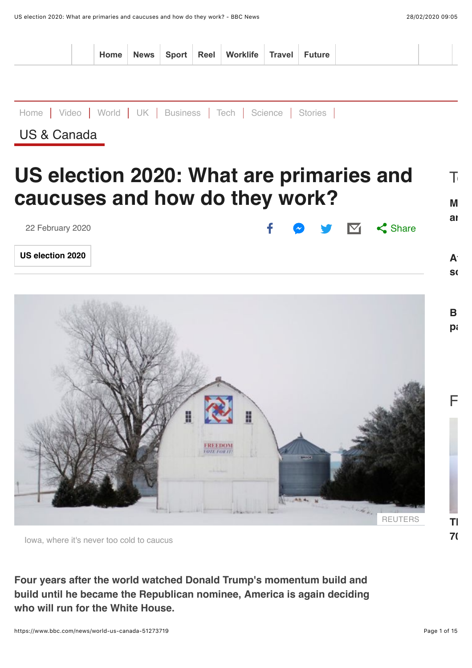

Iowa, where it's never too cold to caucus

**Four years after the world watched Donald Trump's momentum build and build until he became the Republican nominee, America is again deciding who will run for the White House.**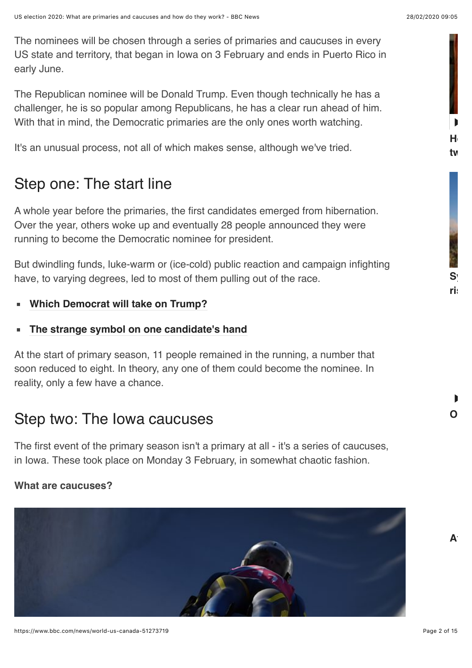**[Ho](https://www.bbc.com/news/av/world-us-canada-51649247/how-making-a-violin-brought-these-two-together)w making a violin brought these**

 $S^i_{\mathbb{R}}$ 

**two together**

 $\blacksquare$ 

 $\blacksquare$ 

**risks spilling over**

**[On](https://www.bbc.com/news/av/world-asia-china-51660852/on-the-front-line-in-wuhan) the front line in Wuhan**

A<sup>r</sup>

The nominees will be chosen through a series of primaries and caucuses in every US state and territory, that began in Iowa on 3 February and ends in Puerto Rico in early June.

The Republican nominee will be Donald Trump. Even though technically he has a challenger, he is so popular among Republicans, he has a clear run ahead of him. With that in mind, the Democratic primaries are the only ones worth watching.

It's an unusual process, not all of which makes sense, although we've tried.

# Step one: The start line

A whole year before the primaries, the first candidates emerged from hibernation. Over the year, others woke up and eventually 28 people announced they were running to become the Democratic nominee for president.

But dwindling funds, luke-warm or (ice-cold) public reaction and campaign infighting have, to varying degrees, led to most of them pulling out of the race.

**[Which Democrat will take on Trump?](https://www.bbc.co.uk/news/world-us-canada-47309795)**

#### **[The strange symbol on one candidate's hand](https://www.bbc.co.uk/news/world-us-canada-51118025)**

At the start of primary season, 11 people remained in the running, a number that soon reduced to eight. In theory, any one of them could become the nominee. In reality, only a few have a chance.

# Step two: The Iowa caucuses

The first event of the primary season isn't a primary at all - it's a series of caucuses, in Iowa. These took place on Monday 3 February, in somewhat chaotic fashion.

#### **What are caucuses?**

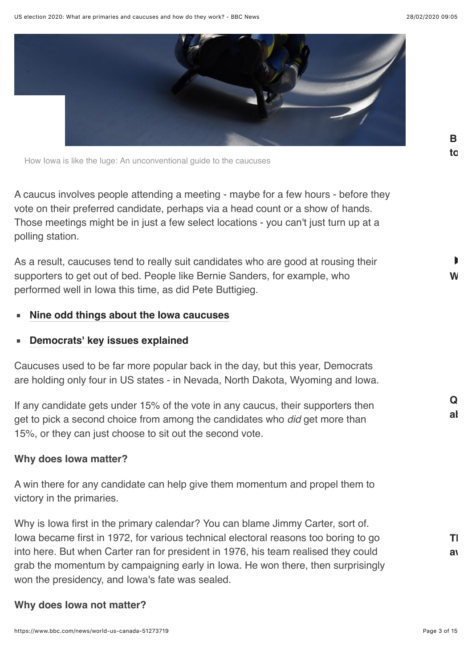

How Iowa is like the luge: An unconventional guide to the caucuses

A caucus involves people attending a meeting - maybe for a few hours - before they vote on their preferred candidate, perhaps via a head count or a show of hands. Those meetings might be in just a few select locations - you can't just turn up at a polling station.

As a result, caucuses tend to really suit candidates who are good at rousing their supporters to get out of bed. People like Bernie Sanders, for example, who performed well in Iowa this time, as did Pete Buttigieg.

#### **[Nine odd things about the Iowa caucuses](https://www.bbc.co.uk/news/world-us-canada-51299245)**

#### **[Democrats' key issues explained](https://www.bbc.co.uk/news/world-us-canada-46954566)**

Caucuses used to be far more popular back in the day, but this year, Democrats are holding only four in US states - in Nevada, North Dakota, Wyoming and Iowa.

If any candidate gets under 15% of the vote in any caucus, their supporters then get to pick a second choice from among the candidates who *did* get more than 15%, or they can just choose to sit out the second vote.

#### **Why does Iowa matter?**

A win there for any candidate can help give them momentum and propel them to victory in the primaries.

Why is Iowa first in the primary calendar? You can blame Jimmy Carter, sort of. Iowa became first in 1972, for various technical electoral reasons too boring to go into here. But when Carter ran for president in 1976, his team realised they could grab the momentum by campaigning early in Iowa. He won there, then surprisingly won the presidency, and Iowa's fate was sealed.

#### **Why does Iowa not matter?**

 $\mathbf{I}$ 

**[Qu](https://www.bbc.com/news/world-51656163)iz of the week: Remember much**

**[Th](https://www.bbc.com/news/51643640)e crisis forcing mothers to give**

av<sub>a</sub>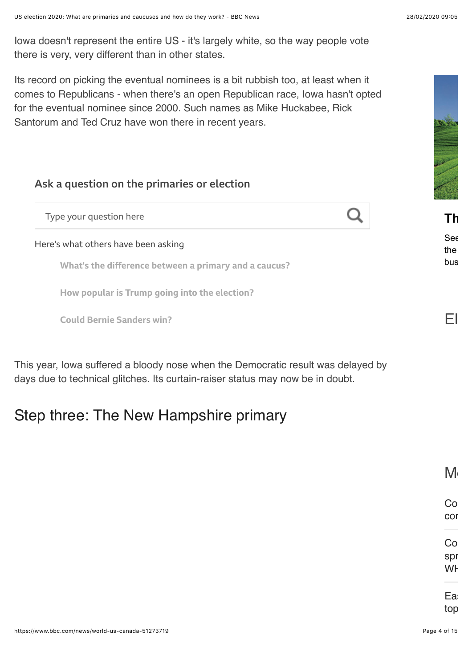Iowa doesn't represent the entire US - it's largely white, so the way people vote there is very, very different than in other states.

Its record on picking the eventual nominees is a bit rubbish too, at least when it comes to Republicans - when there's an open Republican race, Iowa hasn't opted for the eventual nominee since 2000. Such names as Mike Huckabee, Rick Santorum and Ted Cruz have won there in recent years.

#### Ask a question on the primaries or election

Type your question here

Here's what others have been asking

What's the difference between a primary and a caucus?

How popular is Trump going into the election?

Could Bernie Sanders win?

This year, Iowa suffered a bloody nose when the Democratic result was delayed by days due to technical glitches. Its curtain-raiser status may now be in doubt.

## Step three: The New Hampshire primary

 $\mathsf{M}$ 

bus

Co

cor

spr

[WH](https://www.bbc.com/news/live/world-51655133)

Ea:

top



**[Th](https://adclick.g.doubleclick.net/pcs/click%253Fxai%253DAKAOjstGgwIi72HX5Y2yDMtiPEri3f0HajzMtw6iBULsrB9WksAHNV7NEtHAuzVdYqFunF5cSSnk_WGqKKidKAErKNg2SO14L1EEPd7cya50e5UJaK8XzyOnRrrUhmHFgnG0j15US7qySBjhAnqh0I2RpNDqA670xDRVrBzttxMk8YD6gnf6PivCyuipOuZigjWZlrllLMdmFBQnosIDCTCu1dqvI2psQhHcqOud5haCSjiOKF_VuOleNyUAfrfETDLtRKm83XmGyTIYHbQn9U_wzRjlu2ntwV2QtcIE%2526sai%253DAMfl-YQMiII1tXbYLwYVpZYZSsr5_qAHQtmSJepUUYQQZCLHw4MOLfcSd1wLMRb3aMlMSgmmqhLU4Ugoxn-bd4ldinFpNCvSpPp1XWr0Ok_FMWzG7n3pL7lEaxZrNPhqIHeLbiE8gQ1czjQCAM6YE4FpLd-z%2526sig%253DCg0ArKJSzKb42HfuDfiTEAE%2526urlfix%253D1%2526adurl%253Dhttp://www.bbc.com/storyworks/capital/doing-business-in-japan/more-of-japans-diverse-meetings-and-events-destinations?utm_source=BBC-ROS&utm_medium=Bonus-10x10-Promo&utm_campaign=Doing-Business-in-Japan-Ext&utm_content=Article03-v1)e charm of regional Japan**

Se $\epsilon$ the  $\hphantom{a}$ 

El a

Co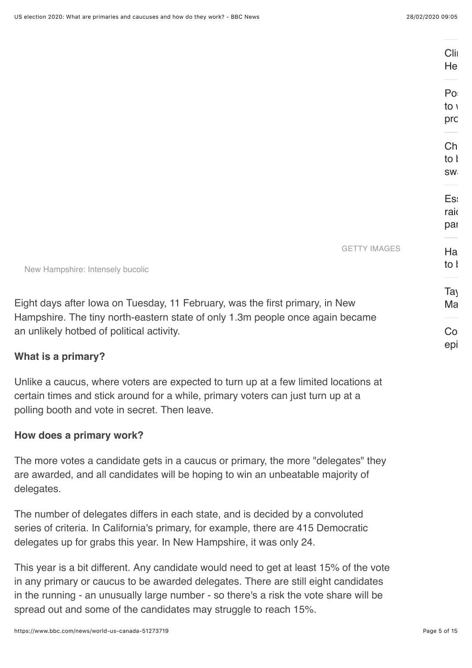|                                                                                               | Clin<br>He      |
|-----------------------------------------------------------------------------------------------|-----------------|
|                                                                                               | Po              |
|                                                                                               | to $\sqrt{ }$   |
|                                                                                               | prc             |
|                                                                                               | Ch              |
|                                                                                               | to I            |
|                                                                                               | SW              |
|                                                                                               |                 |
|                                                                                               | Es:             |
|                                                                                               | raio            |
|                                                                                               | par             |
| <b>GETTY IMAGES</b>                                                                           | Ha              |
|                                                                                               | to I            |
|                                                                                               |                 |
|                                                                                               | Ta <sub>)</sub> |
| , 11 February, was the first primary, in New<br>n state of only 1.3m people once again became | Ma              |
| vity.                                                                                         | Co              |
|                                                                                               | epi             |
|                                                                                               |                 |

New Hampshire: Intensely bucolic

Eight days after Iowa on Tuesday Hampshire. The tiny north-easter an unlikely hotbed of political acti-

#### **What is a primary?**

Unlike a caucus, where voters are expected to turn up at a few limited locations at certain times and stick around for a while, primary voters can just turn up at a polling booth and vote in secret. Then leave.

#### **How does a primary work?**

The more votes a candidate gets in a caucus or primary, the more "delegates" they are awarded, and all candidates will be hoping to win an unbeatable majority of delegates.

The number of delegates differs in each state, and is decided by a convoluted series of criteria. In California's primary, for example, there are 415 Democratic delegates up for grabs this year. In New Hampshire, it was only 24.

This year is a bit different. Any candidate would need to get at least 15% of the vote in any primary or caucus to be awarded delegates. There are still eight candidates in the running - an unusually large number - so there's a risk the vote share will be spread out and some of the candidates may struggle to reach 15%.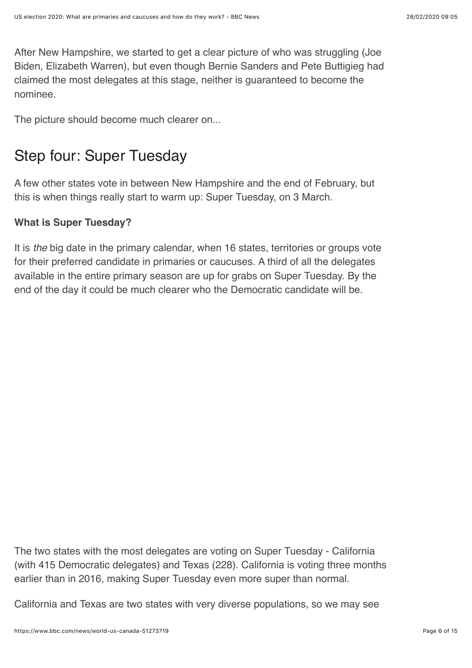After New Hampshire, we started to get a clear picture of who was struggling (Joe Biden, Elizabeth Warren), but even though Bernie Sanders and Pete Buttigieg had claimed the most delegates at this stage, neither is guaranteed to become the nominee.

The picture should become much clearer on...

## Step four: Super Tuesday

A few other states vote in between New Hampshire and the end of February, but this is when things really start to warm up: Super Tuesday, on 3 March.

#### **What is Super Tuesday?**

It is *the* big date in the primary calendar, when 16 states, territories or groups vote for their preferred candidate in primaries or caucuses. A third of all the delegates available in the entire primary season are up for grabs on Super Tuesday. By the end of the day it could be much clearer who the Democratic candidate will be.

The two states with the most delegates are voting on Super Tuesday - California (with 415 Democratic delegates) and Texas (228). California is voting three months earlier than in 2016, making Super Tuesday even more super than normal.

California and Texas are two states with very diverse populations, so we may see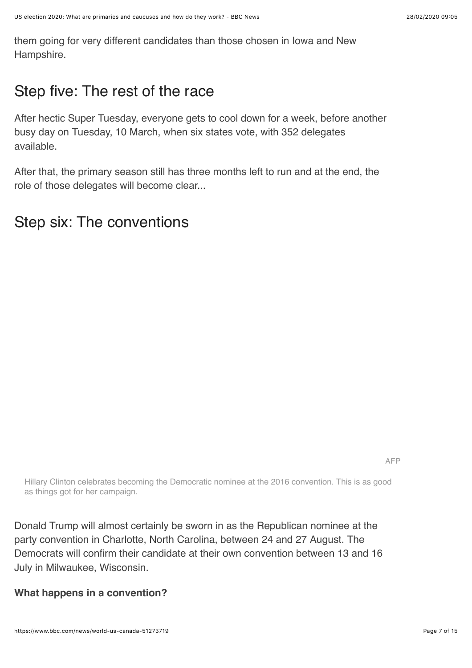them going for very different candidates than those chosen in Iowa and New Hampshire.

## Step five: The rest of the race

After hectic Super Tuesday, everyone gets to cool down for a week, before another busy day on Tuesday, 10 March, when six states vote, with 352 delegates available.

After that, the primary season still has three months left to run and at the end, the role of those delegates will become clear...

## Step six: The conventions

AFP

Hillary Clinton celebrates becoming the Democratic nominee at the 2016 convention. This is as good as things got for her campaign.

Donald Trump will almost certainly be sworn in as the Republican nominee at the party convention in Charlotte, North Carolina, between 24 and 27 August. The Democrats will confirm their candidate at their own convention between 13 and 16 July in Milwaukee, Wisconsin.

**What happens in a convention?**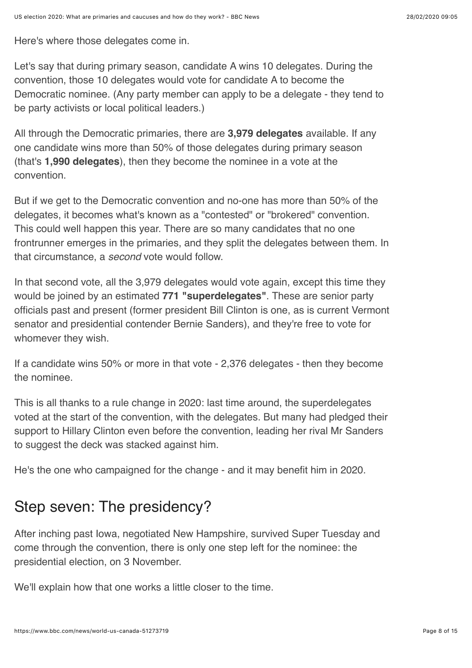Here's where those delegates come in.

Let's say that during primary season, candidate A wins 10 delegates. During the convention, those 10 delegates would vote for candidate A to become the Democratic nominee. (Any party member can apply to be a delegate - they tend to be party activists or local political leaders.)

All through the Democratic primaries, there are **3,979 delegates** available. If any one candidate wins more than 50% of those delegates during primary season (that's **1,990 delegates**), then they become the nominee in a vote at the convention.

But if we get to the Democratic convention and no-one has more than 50% of the delegates, it becomes what's known as a "contested" or "brokered" convention. This could well happen this year. There are so many candidates that no one frontrunner emerges in the primaries, and they split the delegates between them. In that circumstance, a *second* vote would follow.

In that second vote, all the 3,979 delegates would vote again, except this time they would be joined by an estimated **771 "superdelegates"**. These are senior party officials past and present (former president Bill Clinton is one, as is current Vermont senator and presidential contender Bernie Sanders), and they're free to vote for whomever they wish.

If a candidate wins 50% or more in that vote - 2,376 delegates - then they become the nominee.

This is all thanks to a rule change in 2020: last time around, the superdelegates voted at the start of the convention, with the delegates. But many had pledged their support to Hillary Clinton even before the convention, leading her rival Mr Sanders to suggest the deck was stacked against him.

He's the one who campaigned for the change - and it may benefit him in 2020.

## Step seven: The presidency?

After inching past Iowa, negotiated New Hampshire, survived Super Tuesday and come through the convention, there is only one step left for the nominee: the presidential election, on 3 November.

We'll explain how that one works a little closer to the time.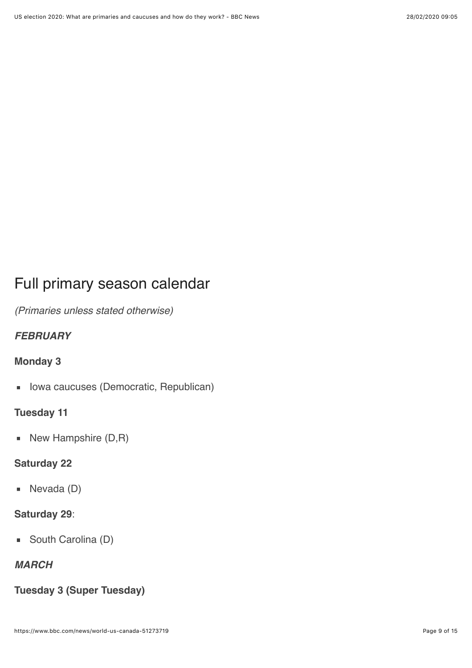# Full primary season calendar

*(Primaries unless stated otherwise)*

### *FEBRUARY*

#### **Monday 3**

Iowa caucuses (Democratic, Republican)  $\blacksquare$ 

#### **Tuesday 11**

New Hampshire (D,R)  $\blacksquare$ 

### **Saturday 22**

■ Nevada (D)

#### **Saturday 29**:

■ South Carolina (D)

### *MARCH*

### **Tuesday 3 (Super Tuesday)**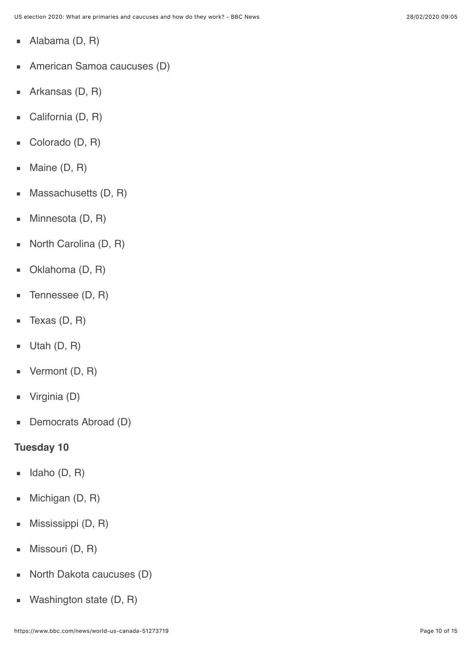- Alabama (D, R)  $\mathbf{u}$
- American Samoa caucuses (D)  $\blacksquare$
- Arkansas (D, R)  $\blacksquare$
- California (D, R)  $\blacksquare$
- Colorado (D, R)  $\blacksquare$
- Maine (D, R)  $\blacksquare$
- Massachusetts (D, R)  $\blacksquare$
- Minnesota (D, R)  $\blacksquare$
- North Carolina (D, R)  $\blacksquare$
- Oklahoma (D, R)  $\blacksquare$
- Tennessee (D, R)  $\blacksquare$
- Texas (D, R)  $\blacksquare$
- Utah (D, R)  $\blacksquare$
- Vermont (D, R)  $\blacksquare$
- Virginia (D)  $\blacksquare$
- Democrats Abroad (D)  $\blacksquare$

### **Tuesday 10**

- Idaho (D, R)  $\blacksquare$
- Michigan (D, R)  $\blacksquare$
- Mississippi (D, R)  $\blacksquare$
- Missouri (D, R)  $\blacksquare$
- North Dakota caucuses (D)  $\blacksquare$
- Washington state (D, R) $\blacksquare$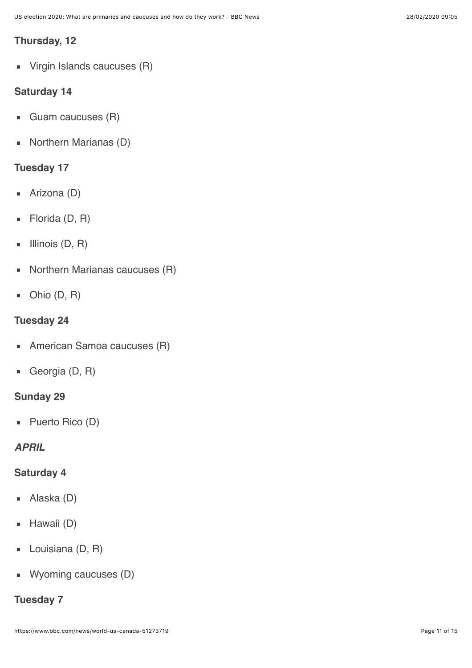#### **Thursday, 12**

**Virgin Islands caucuses (R)** 

#### **Saturday 14**

- Guam caucuses (R)  $\blacksquare$
- Northern Marianas (D)  $\blacksquare$

#### **Tuesday 17**

- Arizona (D)  $\blacksquare$
- Florida (D, R)  $\blacksquare$
- Illinois (D, R)  $\blacksquare$
- Northern Marianas caucuses (R)  $\blacksquare$
- $\blacksquare$  Ohio (D, R)

#### **Tuesday 24**

- American Samoa caucuses (R)  $\blacksquare$
- Georgia (D, R)  $\blacksquare$

#### **Sunday 29**

■ Puerto Rico (D)

### *APRIL*

#### **Saturday 4**

- Alaska (D)  $\blacksquare$
- Hawaii (D)  $\blacksquare$
- Louisiana (D, R)  $\blacksquare$
- **Wyoming caucuses (D)**

#### **Tuesday 7**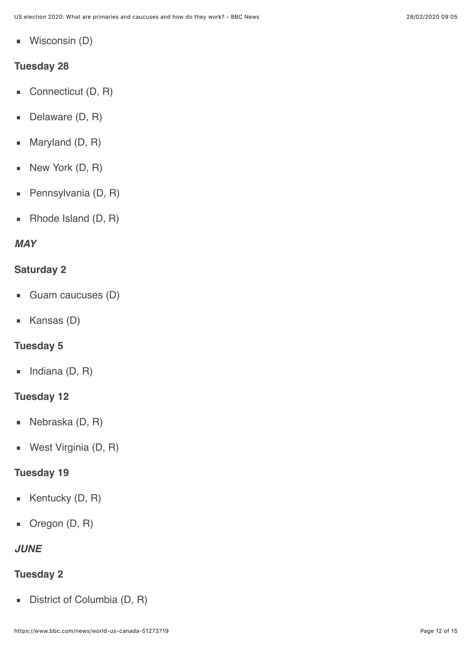Wisconsin (D)  $\blacksquare$ 

#### **Tuesday 28**

- Connecticut (D, R)  $\blacksquare$
- Delaware (D, R)  $\blacksquare$
- Maryland (D, R)  $\blacksquare$
- New York (D, R)  $\blacksquare$
- Pennsylvania (D, R) ×
- Rhode Island (D, R)  $\blacksquare$

#### *MAY*

#### **Saturday 2**

- Guam caucuses (D)  $\blacksquare$
- Kansas (D)  $\mathbf{u}$

#### **Tuesday 5**

Indiana (D, R)  $\blacksquare$ 

#### **Tuesday 12**

- Nebraska (D, R)  $\blacksquare$
- West Virginia (D, R)  $\blacksquare$

#### **Tuesday 19**

- Kentucky (D, R)  $\blacksquare$
- Oregon (D, R)  $\mathbf{u}$

#### *JUNE*

### **Tuesday 2**

District of Columbia (D, R) $\blacksquare$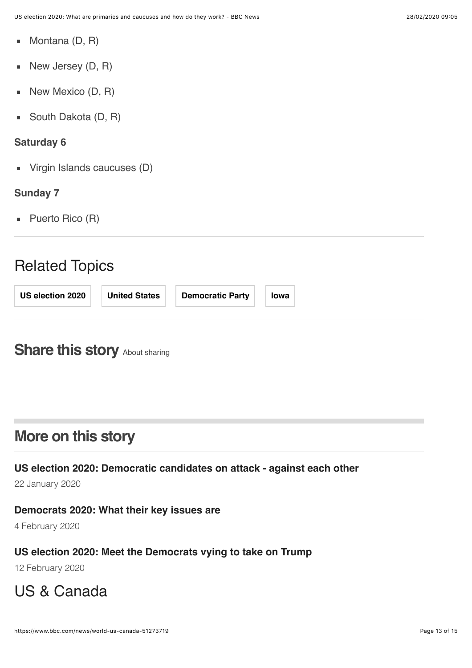- Montana (D, R)  $\blacksquare$
- New Jersey (D, R) ×
- New Mexico (D, R)  $\blacksquare$
- South Dakota (D, R)  $\blacksquare$

#### **Saturday 6**

Virgin Islands caucuses (D)

#### **Sunday 7**

■ Puerto Rico (R)

### Related Topics

| <b>Democratic Party</b><br>US election 2020<br><b>United States</b><br>Iowa |
|-----------------------------------------------------------------------------|
|-----------------------------------------------------------------------------|

## <span id="page-12-0"></span>**Share this story [About sharing](http://www.bbc.co.uk/help/web/sharing.shtml)**

## **More on this story**

**[US election 2020: Democratic candidates on attack - against each other](https://www.bbc.com/news/world-us-canada-51215504)**

22 January 2020

### **[Democrats 2020: What their key issues are](https://www.bbc.com/news/world-us-canada-46954566)**

4 February 2020

### **[US election 2020: Meet the Democrats vying to take on Trump](https://www.bbc.com/news/world-us-canada-47309795)**

12 February 2020

# [US & Canada](https://www.bbc.com/news/world/us_and_canada)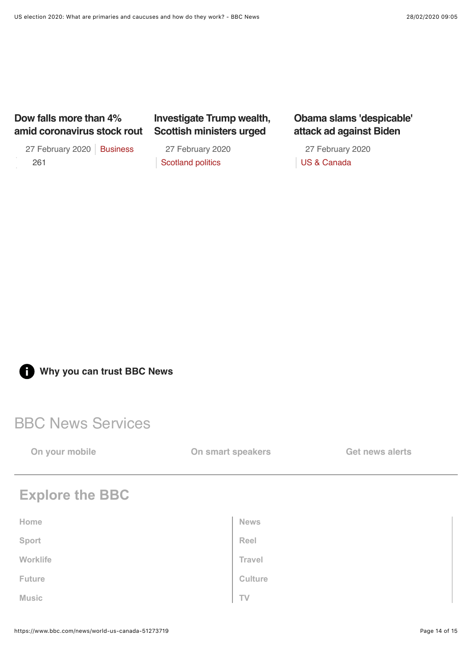#### **Dow falls more than 4% [amid coronavirus stock rout](https://www.bbc.com/news/business-51664652)**

27 February 2020 | [Business](https://www.bbc.com/news/business) 261

27 February 2020 27 February 2020 **Scottish ministers urged**

**[Investigate Trump wealth,](https://www.bbc.com/news/uk-scotland-scotland-politics-51666413)**

[Scotland politics](https://www.bbc.com/news/scotland/scotland_politics)

#### **[Obama slams 'despicable'](https://www.bbc.com/news/world-us-canada-51661642) attack ad against Biden**

[US & Canada](https://www.bbc.com/news/world/us_and_canada)

**[Why you can trust BBC News](https://www.bbc.co.uk/news/help-41670342)**

### BBC News Services

**[On your mobile](https://www.bbc.co.uk/news/10628994) [On smart speakers](https://www.bbc.co.uk/news/help-50068132) [Get news alerts](https://www.bbc.co.uk/news/10628323)** 

## **Explore the BBC**

| Home         | <b>News</b> |
|--------------|-------------|
| Sport        | Reel        |
| Worklife     | Travel      |
| Future       | Culture     |
| <b>Music</b> | TV          |